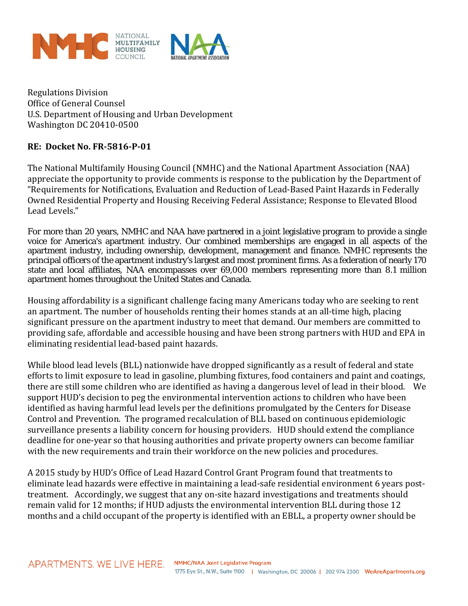

Regulations Division Office of General Counsel U.S. Department of Housing and Urban Development Washington DC 20410-0500

## **RE: Docket No. FR-5816-P-01**

The National Multifamily Housing Council (NMHC) and the National Apartment Association (NAA) appreciate the opportunity to provide comments is response to the publication by the Department of "Requirements for Notifications, Evaluation and Reduction of Lead-Based Paint Hazards in Federally Owned Residential Property and Housing Receiving Federal Assistance; Response to Elevated Blood Lead Levels."

For more than 20 years, NMHC and NAA have partnered in a joint legislative program to provide a single voice for America's apartment industry. Our combined memberships are engaged in all aspects of the apartment industry, including ownership, development, management and finance. NMHC represents the principal officers of the apartment industry's largest and most prominent firms. As a federation of nearly 170 state and local affiliates, NAA encompasses over 69,000 members representing more than 8.1 million apartment homes throughout the United States and Canada.

Housing affordability is a significant challenge facing many Americans today who are seeking to rent an apartment. The number of households renting their homes stands at an all-time high, placing significant pressure on the apartment industry to meet that demand. Our members are committed to providing safe, affordable and accessible housing and have been strong partners with HUD and EPA in eliminating residential lead-based paint hazards.

While blood lead levels (BLL) nationwide have dropped significantly as a result of federal and state efforts to limit exposure to lead in gasoline, plumbing fixtures, food containers and paint and coatings, there are still some children who are identified as having a dangerous level of lead in their blood. We support HUD's decision to peg the environmental intervention actions to children who have been identified as having harmful lead levels per the definitions promulgated by the Centers for Disease Control and Prevention. The programed recalculation of BLL based on continuous epidemiologic surveillance presents a liability concern for housing providers. HUD should extend the compliance deadline for one-year so that housing authorities and private property owners can become familiar with the new requirements and train their workforce on the new policies and procedures.

A 2015 study by HUD's Office of Lead Hazard Control Grant Program found that treatments to eliminate lead hazards were effective in maintaining a lead-safe residential environment 6 years posttreatment. Accordingly, we suggest that any on-site hazard investigations and treatments should remain valid for 12 months; if HUD adjusts the environmental intervention BLL during those 12 months and a child occupant of the property is identified with an EBLL, a property owner should be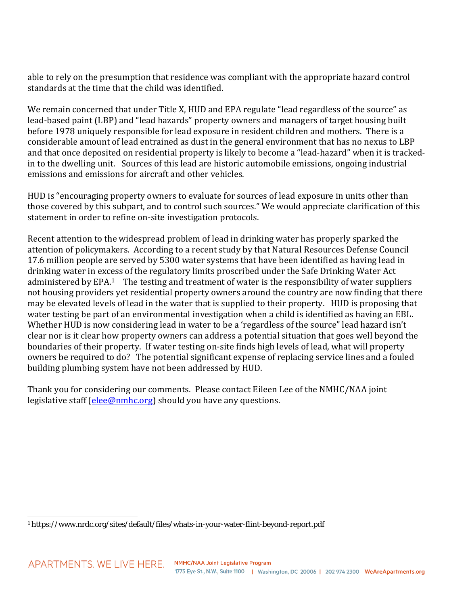able to rely on the presumption that residence was compliant with the appropriate hazard control standards at the time that the child was identified.

We remain concerned that under Title X, HUD and EPA regulate "lead regardless of the source" as lead-based paint (LBP) and "lead hazards" property owners and managers of target housing built before 1978 uniquely responsible for lead exposure in resident children and mothers. There is a considerable amount of lead entrained as dust in the general environment that has no nexus to LBP and that once deposited on residential property is likely to become a "lead-hazard" when it is trackedin to the dwelling unit. Sources of this lead are historic automobile emissions, ongoing industrial emissions and emissions for aircraft and other vehicles.

HUD is "encouraging property owners to evaluate for sources of lead exposure in units other than those covered by this subpart, and to control such sources." We would appreciate clarification of this statement in order to refine on-site investigation protocols.

Recent attention to the widespread problem of lead in drinking water has properly sparked the attention of policymakers. According to a recent study by that Natural Resources Defense Council 17.6 million people are served by 5300 water systems that have been identified as having lead in drinking water in excess of the regulatory limits proscribed under the Safe Drinking Water Act administered by EPA.<sup>1</sup> The testing and treatment of water is the responsibility of water suppliers not housing providers yet residential property owners around the country are now finding that there may be elevated levels of lead in the water that is supplied to their property. HUD is proposing that water testing be part of an environmental investigation when a child is identified as having an EBL. Whether HUD is now considering lead in water to be a 'regardless of the source" lead hazard isn't clear nor is it clear how property owners can address a potential situation that goes well beyond the boundaries of their property. If water testing on-site finds high levels of lead, what will property owners be required to do? The potential significant expense of replacing service lines and a fouled building plumbing system have not been addressed by HUD.

Thank you for considering our comments. Please contact Eileen Lee of the NMHC/NAA joint legislative staff [\(elee@nmhc.org\)](mailto:elee@nmhc.org) should you have any questions.

<sup>1</sup> https://www.nrdc.org/sites/default/files/whats-in-your-water-flint-beyond-report.pdf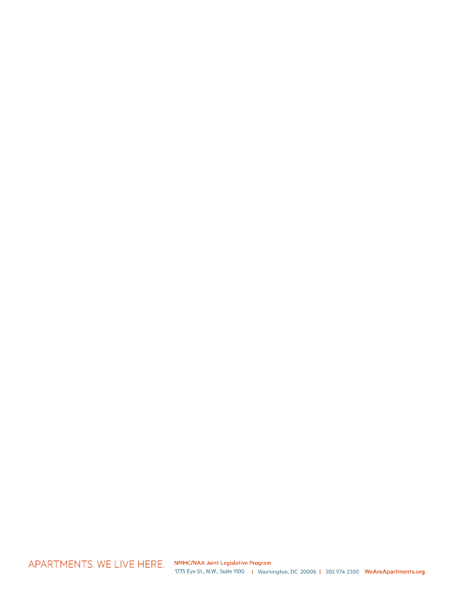APARTMENTS. WE LIVE HERE. NMHC/NAA Joint Legislative Program